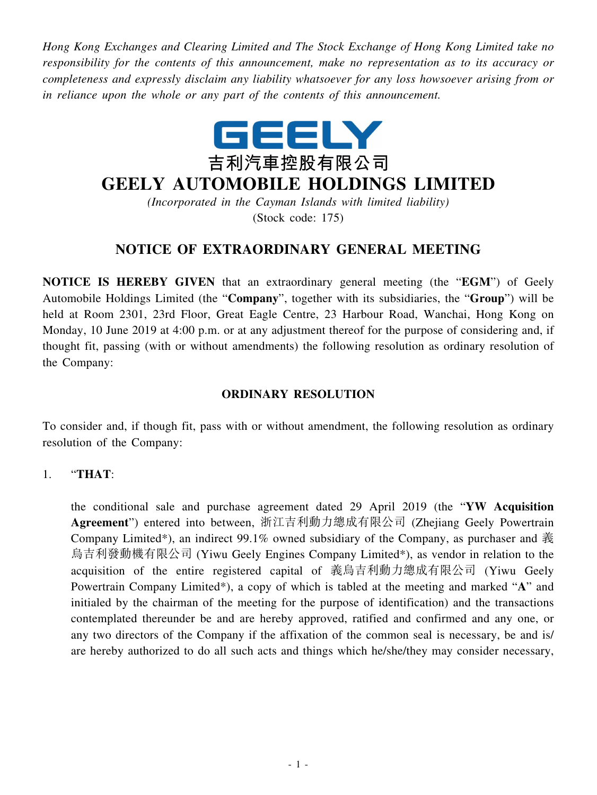*Hong Kong Exchanges and Clearing Limited and The Stock Exchange of Hong Kong Limited take no responsibility for the contents of this announcement, make no representation as to its accuracy or completeness and expressly disclaim any liability whatsoever for any loss howsoever arising from or in reliance upon the whole or any part of the contents of this announcement.*



## **GEELY AUTOMOBILE HOLDINGS LIMITED**

*(Incorporated in the Cayman Islands with limited liability)* (Stock code: 175)

## **NOTICE OF EXTRAORDINARY GENERAL MEETING**

**NOTICE IS HEREBY GIVEN** that an extraordinary general meeting (the "**EGM**") of Geely Automobile Holdings Limited (the "**Company**", together with its subsidiaries, the "**Group**") will be held at Room 2301, 23rd Floor, Great Eagle Centre, 23 Harbour Road, Wanchai, Hong Kong on Monday, 10 June 2019 at 4:00 p.m. or at any adjustment thereof for the purpose of considering and, if thought fit, passing (with or without amendments) the following resolution as ordinary resolution of the Company:

## **ORDINARY RESOLUTION**

To consider and, if though fit, pass with or without amendment, the following resolution as ordinary resolution of the Company:

## 1. "**THAT**:

the conditional sale and purchase agreement dated 29 April 2019 (the "**YW Acquisition Agreement**") entered into between, 浙江吉利動力總成有限公司 (Zhejiang Geely Powertrain Company Limited\*), an indirect 99.1% owned subsidiary of the Company, as purchaser and 義 烏吉利發動機有限公司 (Yiwu Geely Engines Company Limited\*), as vendor in relation to the acquisition of the entire registered capital of 義烏吉利動力總成有限公司 (Yiwu Geely Powertrain Company Limited\*), a copy of which is tabled at the meeting and marked "**A**" and initialed by the chairman of the meeting for the purpose of identification) and the transactions contemplated thereunder be and are hereby approved, ratified and confirmed and any one, or any two directors of the Company if the affixation of the common seal is necessary, be and is/ are hereby authorized to do all such acts and things which he/she/they may consider necessary,